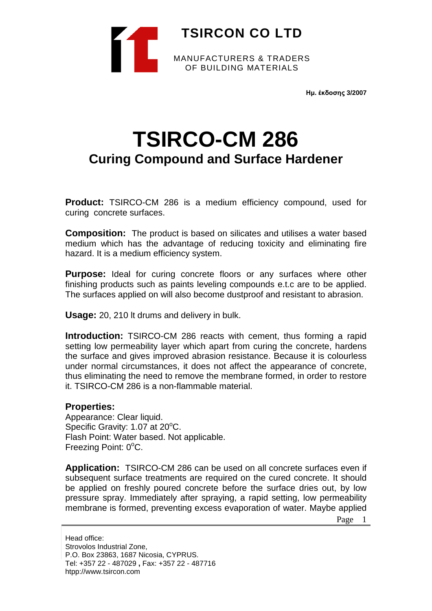

**Ημ. έκδοσης 3/2007**

## **TSIRCO-CM 286 Curing Compound and Surface Hardener**

**Product:** TSIRCO-CM 286 is a medium efficiency compound, used for curing concrete surfaces.

**Composition:** The product is based on silicates and utilises a water based medium which has the advantage of reducing toxicity and eliminating fire hazard. It is a medium efficiency system.

**Purpose:** Ideal for curing concrete floors or any surfaces where other finishing products such as paints leveling compounds e.t.c are to be applied. The surfaces applied on will also become dustproof and resistant to abrasion.

**Usage:** 20, 210 lt drums and delivery in bulk.

**Introduction:** TSIRCO-CM 286 reacts with cement, thus forming a rapid setting low permeability layer which apart from curing the concrete, hardens the surface and gives improved abrasion resistance. Because it is colourless under normal circumstances, it does not affect the appearance of concrete, thus eliminating the need to remove the membrane formed, in order to restore it. TSIRCO-CM 286 is a non-flammable material.

## **Properties:**

Appearance: Clear liquid. Specific Gravity: 1.07 at 20°C. Flash Point: Water based. Not applicable. Freezing Point: 0°C.

**Application:** TSIRCO-CM 286 can be used on all concrete surfaces even if subsequent surface treatments are required on the cured concrete. It should be applied on freshly poured concrete before the surface dries out, by low pressure spray. Immediately after spraying, a rapid setting, low permeability membrane is formed, preventing excess evaporation of water. Maybe applied

Page 1

Head office: Strovolos Industrial Zone, P.O. Box 23863, 1687 Nicosia, CYPRUS. Tel: +357 22 - 487029 **,** Fax: +357 22 - 487716 htpp://www.tsircon.com